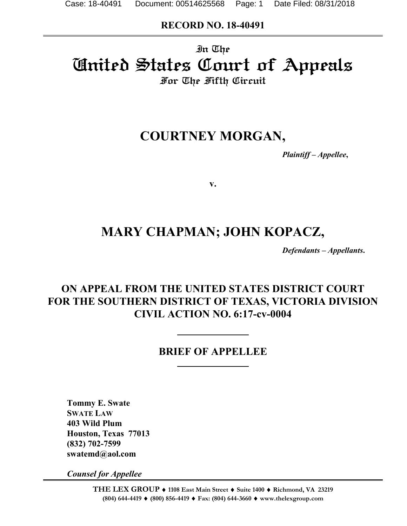## **RECORD NO. 18-40491**

# In The United States Court of Appeals For The Fifth Circuit

# **COURTNEY MORGAN,**

*Plaintiff – Appellee***,**

**v.**

# **MARY CHAPMAN; JOHN KOPACZ,**

*Defendants – Appellants***.**

## **ON APPEAL FROM THE UNITED STATES DISTRICT COURT FOR THE SOUTHERN DISTRICT OF TEXAS, VICTORIA DIVISION CIVIL ACTION NO. 6:17-cv-0004**

## **BRIEF OF APPELLEE**

**Tommy E. Swate SWATE LAW 403 Wild Plum Houston, Texas 77013 (832) 702-7599 swatemd@aol.com**

*Counsel for Appellee*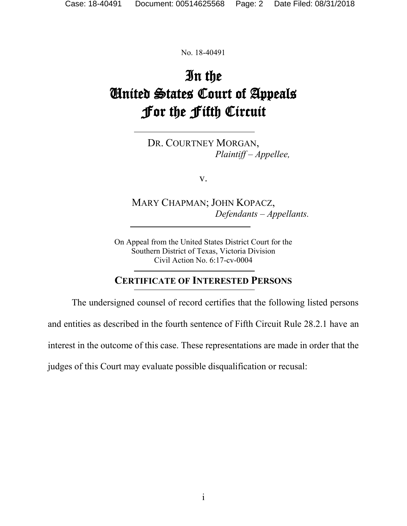No. 18-40491

# In the United States Court of Appeals For the Fifth Circuit

DR. COURTNEY MORGAN, *Plaintiff – Appellee,*

v.

MARY CHAPMAN; JOHN KOPACZ, *Defendants – Appellants.*

On Appeal from the United States District Court for the Southern District of Texas, Victoria Division Civil Action No. 6:17-cv-0004

## **CERTIFICATE OF INTERESTED PERSONS**

The undersigned counsel of record certifies that the following listed persons

and entities as described in the fourth sentence of Fifth Circuit Rule 28.2.1 have an

interest in the outcome of this case. These representations are made in order that the

judges of this Court may evaluate possible disqualification or recusal: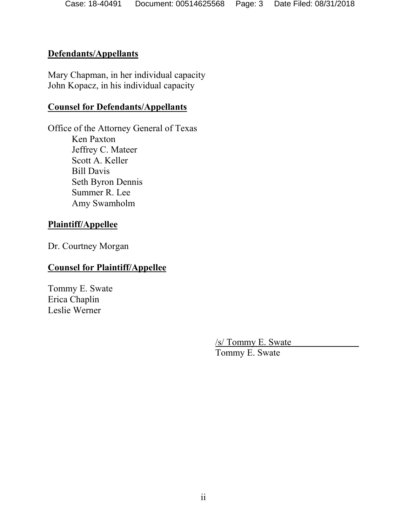#### **Defendants/Appellants**

Mary Chapman, in her individual capacity John Kopacz, in his individual capacity

#### **Counsel for Defendants/Appellants**

Office of the Attorney General of Texas Ken Paxton Jeffrey C. Mateer Scott A. Keller Bill Davis Seth Byron Dennis Summer R. Lee Amy Swamholm

#### **Plaintiff/Appellee**

Dr. Courtney Morgan

## **Counsel for Plaintiff/Appellee**

Tommy E. Swate Erica Chaplin Leslie Werner

/s/ Tommy E. Swate

Tommy E. Swate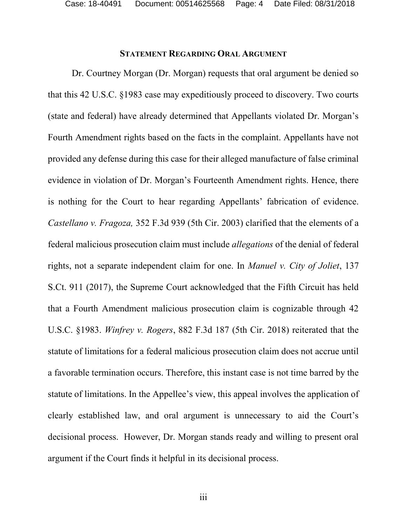Case: 18-40491 Document: 00514625568 Page: 4 Date Filed: 08/31/2018

#### **STATEMENT REGARDING ORAL ARGUMENT**

Dr. Courtney Morgan (Dr. Morgan) requests that oral argument be denied so that this 42 U.S.C. §1983 case may expeditiously proceed to discovery. Two courts (state and federal) have already determined that Appellants violated Dr. Morgan's Fourth Amendment rights based on the facts in the complaint. Appellants have not provided any defense during this case for their alleged manufacture of false criminal evidence in violation of Dr. Morgan's Fourteenth Amendment rights. Hence, there is nothing for the Court to hear regarding Appellants' fabrication of evidence. *Castellano v. Fragoza,* 352 F.3d 939 (5th Cir. 2003) clarified that the elements of a federal malicious prosecution claim must include *allegations* of the denial of federal rights, not a separate independent claim for one. In *Manuel v. City of Joliet*, 137 S.Ct. 911 (2017), the Supreme Court acknowledged that the Fifth Circuit has held that a Fourth Amendment malicious prosecution claim is cognizable through 42 U.S.C. §1983. *Winfrey v. Rogers*, 882 F.3d 187 (5th Cir. 2018) reiterated that the statute of limitations for a federal malicious prosecution claim does not accrue until a favorable termination occurs. Therefore, this instant case is not time barred by the statute of limitations. In the Appellee's view, this appeal involves the application of clearly established law, and oral argument is unnecessary to aid the Court's decisional process. However, Dr. Morgan stands ready and willing to present oral argument if the Court finds it helpful in its decisional process.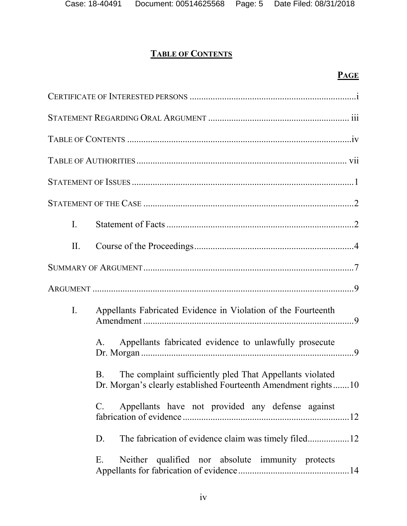# **TABLE OF CONTENTS**

# **PAGE**

| $\mathbf{I}$ .                                                                                                                   |
|----------------------------------------------------------------------------------------------------------------------------------|
| II.                                                                                                                              |
|                                                                                                                                  |
|                                                                                                                                  |
| Appellants Fabricated Evidence in Violation of the Fourteenth<br>$\mathbf{I}$ .                                                  |
| Appellants fabricated evidence to unlawfully prosecute<br>А.                                                                     |
| The complaint sufficiently pled That Appellants violated<br>B.<br>Dr. Morgan's clearly established Fourteenth Amendment rights10 |
| Appellants have not provided any defense against<br>$\mathbf{C}$ .                                                               |
| D.                                                                                                                               |
| Neither qualified nor absolute immunity protects<br>Е.                                                                           |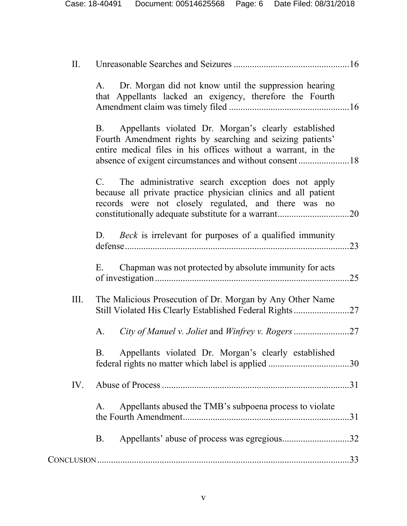| П.  |                                                                                                                                                                                                                                                   |     |
|-----|---------------------------------------------------------------------------------------------------------------------------------------------------------------------------------------------------------------------------------------------------|-----|
|     | Dr. Morgan did not know until the suppression hearing<br>A.<br>that Appellants lacked an exigency, therefore the Fourth                                                                                                                           |     |
|     | Appellants violated Dr. Morgan's clearly established<br><b>B</b> .<br>Fourth Amendment rights by searching and seizing patients'<br>entire medical files in his offices without a warrant, in the                                                 |     |
|     | The administrative search exception does not apply<br>$C_{\cdot}$<br>because all private practice physician clinics and all patient<br>records were not closely regulated, and there was no<br>constitutionally adequate substitute for a warrant | .20 |
|     | <i>Beck</i> is irrelevant for purposes of a qualified immunity<br>D.                                                                                                                                                                              | .23 |
|     | Chapman was not protected by absolute immunity for acts<br>E.                                                                                                                                                                                     | .25 |
| Ш.  | The Malicious Prosecution of Dr. Morgan by Any Other Name<br>Still Violated His Clearly Established Federal Rights27                                                                                                                              |     |
|     | A.                                                                                                                                                                                                                                                |     |
|     | Appellants violated Dr. Morgan's clearly established<br>В.                                                                                                                                                                                        |     |
| IV. |                                                                                                                                                                                                                                                   |     |
|     | Appellants abused the TMB's subpoena process to violate<br>Α.                                                                                                                                                                                     | .31 |
|     | Appellants' abuse of process was egregious32<br><b>B.</b>                                                                                                                                                                                         |     |
|     |                                                                                                                                                                                                                                                   |     |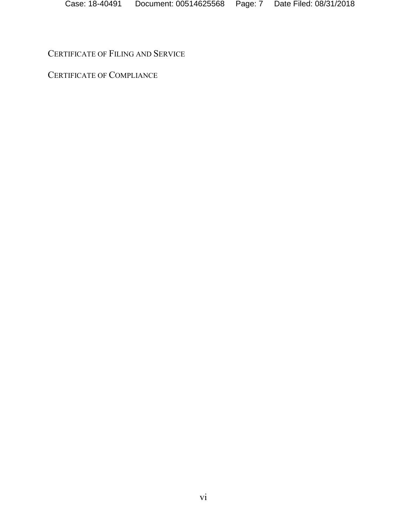CERTIFICATE OF FILING AND SERVICE

CERTIFICATE OF COMPLIANCE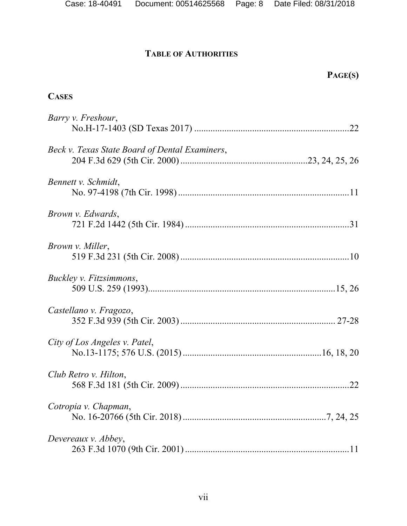## **TABLE OF AUTHORITIES**

| PAGE(S)                                        |
|------------------------------------------------|
| <b>CASES</b>                                   |
| Barry v. Freshour,                             |
| Beck v. Texas State Board of Dental Examiners, |
| Bennett v. Schmidt,                            |
| <i>Brown v. Edwards,</i>                       |
| <i>Brown v. Miller,</i>                        |
| Buckley v. Fitzsimmons,                        |
| Castellano v. Fragozo,                         |
| City of Los Angeles v. Patel,                  |
| Club Retro v. Hilton,<br>.22                   |
| Cotropia v. Chapman,                           |
| Devereaux v. Abbey,                            |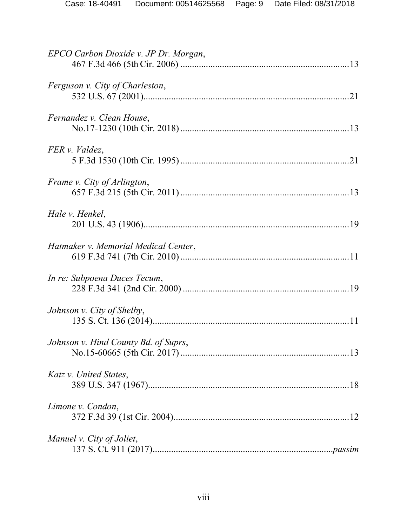| EPCO Carbon Dioxide v. JP Dr. Morgan, |  |
|---------------------------------------|--|
| Ferguson v. City of Charleston,       |  |
| Fernandez v. Clean House,             |  |
| FER v. Valdez,                        |  |
| Frame v. City of Arlington,           |  |
| Hale v. Henkel,                       |  |
| Hatmaker v. Memorial Medical Center,  |  |
| In re: Subpoena Duces Tecum,          |  |
| Johnson v. City of Shelby,            |  |
| Johnson v. Hind County Bd. of Suprs,  |  |
| Katz v. United States,                |  |
| Limone v. Condon,                     |  |
| Manuel v. City of Joliet,             |  |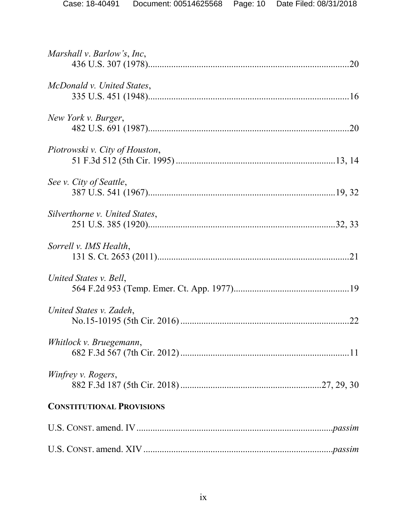| Marshall v. Barlow's, Inc,       |     |
|----------------------------------|-----|
| McDonald v. United States,       |     |
| New York v. Burger,              | 20  |
| Piotrowski v. City of Houston,   |     |
| See v. City of Seattle,          |     |
| Silverthorne v. United States,   |     |
| Sorrell v. IMS Health,           |     |
| United States v. Bell,           |     |
| United States v. Zadeh,          | .22 |
| Whitlock v. Bruegemann,          |     |
| Winfrey v. Rogers,               |     |
| <b>CONSTITUTIONAL PROVISIONS</b> |     |
|                                  |     |
|                                  |     |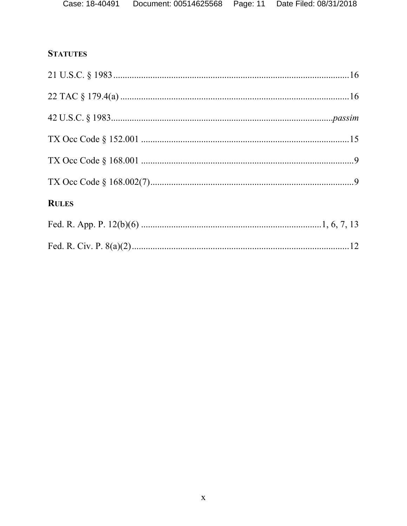# **STATUTES**

| <b>RULES</b> |  |
|--------------|--|
|              |  |
|              |  |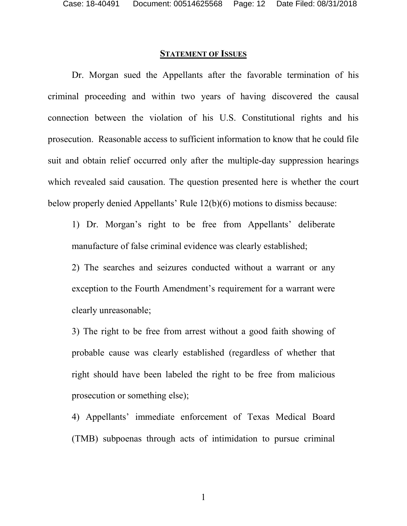#### **STATEMENT OF ISSUES**

Dr. Morgan sued the Appellants after the favorable termination of his criminal proceeding and within two years of having discovered the causal connection between the violation of his U.S. Constitutional rights and his prosecution. Reasonable access to sufficient information to know that he could file suit and obtain relief occurred only after the multiple-day suppression hearings which revealed said causation. The question presented here is whether the court below properly denied Appellants' Rule 12(b)(6) motions to dismiss because:

1) Dr. Morgan's right to be free from Appellants' deliberate manufacture of false criminal evidence was clearly established;

2) The searches and seizures conducted without a warrant or any exception to the Fourth Amendment's requirement for a warrant were clearly unreasonable;

3) The right to be free from arrest without a good faith showing of probable cause was clearly established (regardless of whether that right should have been labeled the right to be free from malicious prosecution or something else);

4) Appellants' immediate enforcement of Texas Medical Board (TMB) subpoenas through acts of intimidation to pursue criminal

1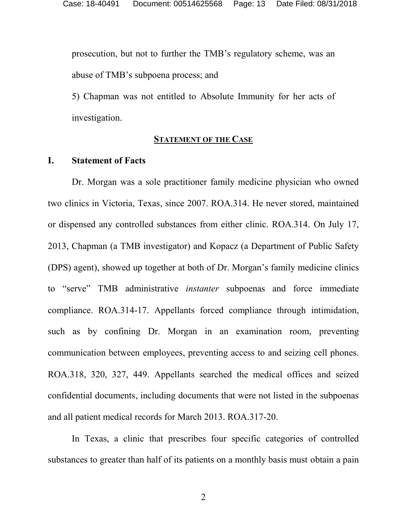prosecution, but not to further the TMB's regulatory scheme, was an abuse of TMB's subpoena process; and

5) Chapman was not entitled to Absolute Immunity for her acts of investigation.

#### **STATEMENT OF THE CASE**

#### **I. Statement of Facts**

Dr. Morgan was a sole practitioner family medicine physician who owned two clinics in Victoria, Texas, since 2007. ROA.314. He never stored, maintained or dispensed any controlled substances from either clinic. ROA.314. On July 17, 2013, Chapman (a TMB investigator) and Kopacz (a Department of Public Safety (DPS) agent), showed up together at both of Dr. Morgan's family medicine clinics to "serve" TMB administrative *instanter* subpoenas and force immediate compliance. ROA.314-17. Appellants forced compliance through intimidation, such as by confining Dr. Morgan in an examination room, preventing communication between employees, preventing access to and seizing cell phones. ROA.318, 320, 327, 449. Appellants searched the medical offices and seized confidential documents, including documents that were not listed in the subpoenas and all patient medical records for March 2013. ROA.317-20.

In Texas, a clinic that prescribes four specific categories of controlled substances to greater than half of its patients on a monthly basis must obtain a pain

2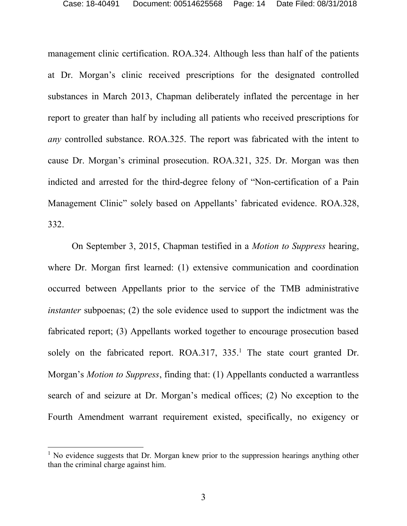management clinic certification. ROA.324. Although less than half of the patients at Dr. Morgan's clinic received prescriptions for the designated controlled substances in March 2013, Chapman deliberately inflated the percentage in her report to greater than half by including all patients who received prescriptions for *any* controlled substance. ROA.325. The report was fabricated with the intent to cause Dr. Morgan's criminal prosecution. ROA.321, 325. Dr. Morgan was then indicted and arrested for the third-degree felony of "Non-certification of a Pain Management Clinic" solely based on Appellants' fabricated evidence. ROA.328, 332.

On September 3, 2015, Chapman testified in a *Motion to Suppress* hearing, where Dr. Morgan first learned: (1) extensive communication and coordination occurred between Appellants prior to the service of the TMB administrative *instanter* subpoenas; (2) the sole evidence used to support the indictment was the fabricated report; (3) Appellants worked together to encourage prosecution based solely on the fabricated report. ROA.317, 335.<sup>1</sup> The state court granted Dr. Morgan's *Motion to Suppress*, finding that: (1) Appellants conducted a warrantless search of and seizure at Dr. Morgan's medical offices; (2) No exception to the Fourth Amendment warrant requirement existed, specifically, no exigency or

 $<sup>1</sup>$  No evidence suggests that Dr. Morgan knew prior to the suppression hearings anything other</sup> than the criminal charge against him.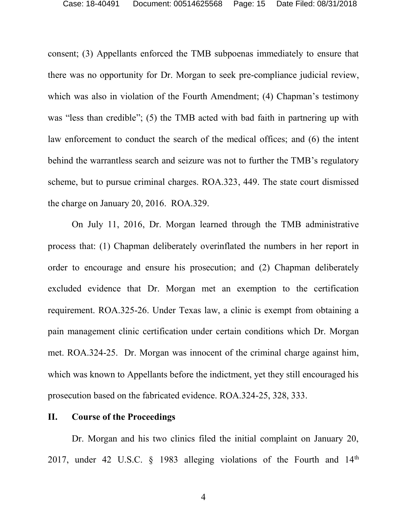consent; (3) Appellants enforced the TMB subpoenas immediately to ensure that there was no opportunity for Dr. Morgan to seek pre-compliance judicial review, which was also in violation of the Fourth Amendment; (4) Chapman's testimony was "less than credible"; (5) the TMB acted with bad faith in partnering up with law enforcement to conduct the search of the medical offices; and (6) the intent behind the warrantless search and seizure was not to further the TMB's regulatory scheme, but to pursue criminal charges. ROA.323, 449. The state court dismissed the charge on January 20, 2016. ROA.329.

On July 11, 2016, Dr. Morgan learned through the TMB administrative process that: (1) Chapman deliberately overinflated the numbers in her report in order to encourage and ensure his prosecution; and (2) Chapman deliberately excluded evidence that Dr. Morgan met an exemption to the certification requirement. ROA.325-26. Under Texas law, a clinic is exempt from obtaining a pain management clinic certification under certain conditions which Dr. Morgan met. ROA.324-25. Dr. Morgan was innocent of the criminal charge against him, which was known to Appellants before the indictment, yet they still encouraged his prosecution based on the fabricated evidence. ROA.324-25, 328, 333.

#### **II. Course of the Proceedings**

Dr. Morgan and his two clinics filed the initial complaint on January 20, 2017, under 42 U.S.C.  $\S$  1983 alleging violations of the Fourth and 14<sup>th</sup>

4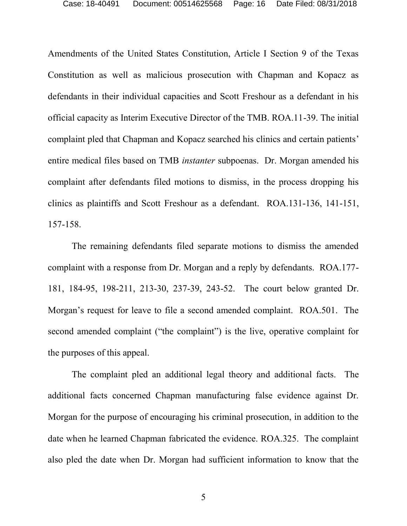Amendments of the United States Constitution, Article I Section 9 of the Texas Constitution as well as malicious prosecution with Chapman and Kopacz as defendants in their individual capacities and Scott Freshour as a defendant in his official capacity as Interim Executive Director of the TMB. ROA.11-39. The initial complaint pled that Chapman and Kopacz searched his clinics and certain patients' entire medical files based on TMB *instanter* subpoenas. Dr. Morgan amended his complaint after defendants filed motions to dismiss, in the process dropping his clinics as plaintiffs and Scott Freshour as a defendant. ROA.131-136, 141-151, 157-158.

The remaining defendants filed separate motions to dismiss the amended complaint with a response from Dr. Morgan and a reply by defendants. ROA.177- 181, 184-95, 198-211, 213-30, 237-39, 243-52. The court below granted Dr. Morgan's request for leave to file a second amended complaint. ROA.501. The second amended complaint ("the complaint") is the live, operative complaint for the purposes of this appeal.

The complaint pled an additional legal theory and additional facts. The additional facts concerned Chapman manufacturing false evidence against Dr. Morgan for the purpose of encouraging his criminal prosecution, in addition to the date when he learned Chapman fabricated the evidence. ROA.325. The complaint also pled the date when Dr. Morgan had sufficient information to know that the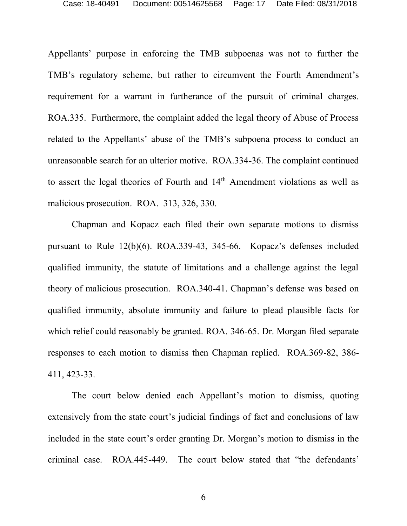Appellants' purpose in enforcing the TMB subpoenas was not to further the TMB's regulatory scheme, but rather to circumvent the Fourth Amendment's requirement for a warrant in furtherance of the pursuit of criminal charges. ROA.335. Furthermore, the complaint added the legal theory of Abuse of Process related to the Appellants' abuse of the TMB's subpoena process to conduct an unreasonable search for an ulterior motive. ROA.334-36. The complaint continued to assert the legal theories of Fourth and 14<sup>th</sup> Amendment violations as well as malicious prosecution. ROA. 313, 326, 330.

Chapman and Kopacz each filed their own separate motions to dismiss pursuant to Rule 12(b)(6). ROA.339-43, 345-66. Kopacz's defenses included qualified immunity, the statute of limitations and a challenge against the legal theory of malicious prosecution. ROA.340-41. Chapman's defense was based on qualified immunity, absolute immunity and failure to plead plausible facts for which relief could reasonably be granted. ROA. 346-65. Dr. Morgan filed separate responses to each motion to dismiss then Chapman replied. ROA.369-82, 386- 411, 423-33.

The court below denied each Appellant's motion to dismiss, quoting extensively from the state court's judicial findings of fact and conclusions of law included in the state court's order granting Dr. Morgan's motion to dismiss in the criminal case. ROA.445-449. The court below stated that "the defendants'

6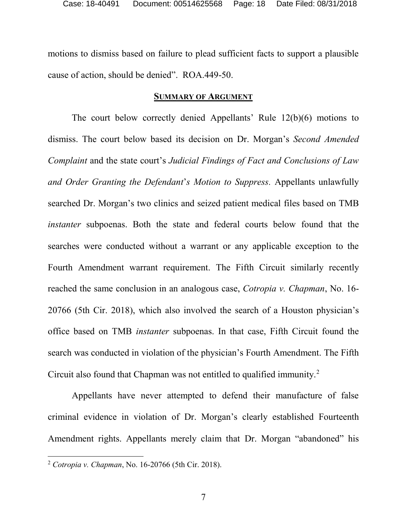motions to dismiss based on failure to plead sufficient facts to support a plausible cause of action, should be denied". ROA.449-50.

#### **SUMMARY OF ARGUMENT**

The court below correctly denied Appellants' Rule 12(b)(6) motions to dismiss. The court below based its decision on Dr. Morgan's *Second Amended Complaint* and the state court's *Judicial Findings of Fact and Conclusions of Law and Order Granting the Defendant*'*s Motion to Suppress.* Appellants unlawfully searched Dr. Morgan's two clinics and seized patient medical files based on TMB *instanter* subpoenas. Both the state and federal courts below found that the searches were conducted without a warrant or any applicable exception to the Fourth Amendment warrant requirement. The Fifth Circuit similarly recently reached the same conclusion in an analogous case, *Cotropia v. Chapman*, No. 16- 20766 (5th Cir. 2018), which also involved the search of a Houston physician's office based on TMB *instanter* subpoenas. In that case, Fifth Circuit found the search was conducted in violation of the physician's Fourth Amendment. The Fifth Circuit also found that Chapman was not entitled to qualified immunity.<sup>2</sup>

Appellants have never attempted to defend their manufacture of false criminal evidence in violation of Dr. Morgan's clearly established Fourteenth Amendment rights. Appellants merely claim that Dr. Morgan "abandoned" his

<sup>2</sup> *Cotropia v. Chapman*, No. 16-20766 (5th Cir. 2018).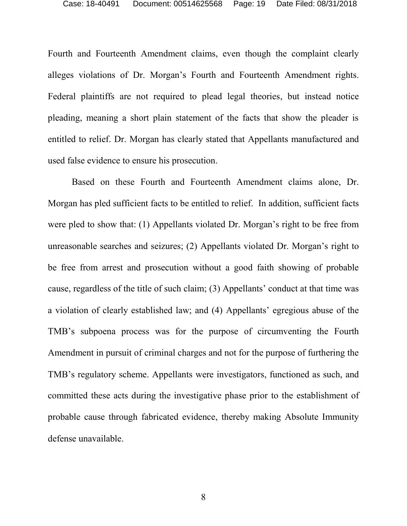Fourth and Fourteenth Amendment claims, even though the complaint clearly alleges violations of Dr. Morgan's Fourth and Fourteenth Amendment rights. Federal plaintiffs are not required to plead legal theories, but instead notice pleading, meaning a short plain statement of the facts that show the pleader is entitled to relief. Dr. Morgan has clearly stated that Appellants manufactured and used false evidence to ensure his prosecution.

Based on these Fourth and Fourteenth Amendment claims alone, Dr. Morgan has pled sufficient facts to be entitled to relief. In addition, sufficient facts were pled to show that: (1) Appellants violated Dr. Morgan's right to be free from unreasonable searches and seizures; (2) Appellants violated Dr. Morgan's right to be free from arrest and prosecution without a good faith showing of probable cause, regardless of the title of such claim; (3) Appellants' conduct at that time was a violation of clearly established law; and (4) Appellants' egregious abuse of the TMB's subpoena process was for the purpose of circumventing the Fourth Amendment in pursuit of criminal charges and not for the purpose of furthering the TMB's regulatory scheme. Appellants were investigators, functioned as such, and committed these acts during the investigative phase prior to the establishment of probable cause through fabricated evidence, thereby making Absolute Immunity defense unavailable.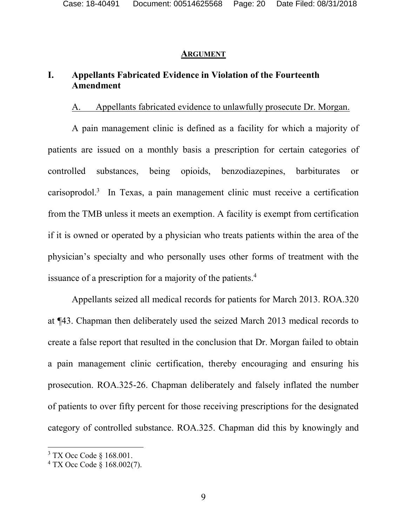#### **ARGUMENT**

## **I. Appellants Fabricated Evidence in Violation of the Fourteenth Amendment**

#### A. Appellants fabricated evidence to unlawfully prosecute Dr. Morgan.

A pain management clinic is defined as a facility for which a majority of patients are issued on a monthly basis a prescription for certain categories of controlled substances, being opioids, benzodiazepines, barbiturates or carisoprodol.<sup>3</sup> In Texas, a pain management clinic must receive a certification from the TMB unless it meets an exemption. A facility is exempt from certification if it is owned or operated by a physician who treats patients within the area of the physician's specialty and who personally uses other forms of treatment with the issuance of a prescription for a majority of the patients.<sup>4</sup>

Appellants seized all medical records for patients for March 2013. ROA.320 at ¶43. Chapman then deliberately used the seized March 2013 medical records to create a false report that resulted in the conclusion that Dr. Morgan failed to obtain a pain management clinic certification, thereby encouraging and ensuring his prosecution. ROA.325-26. Chapman deliberately and falsely inflated the number of patients to over fifty percent for those receiving prescriptions for the designated category of controlled substance. ROA.325. Chapman did this by knowingly and

 $3$  TX Occ Code  $\S$  168.001.

<sup>4</sup> TX Occ Code § 168.002(7).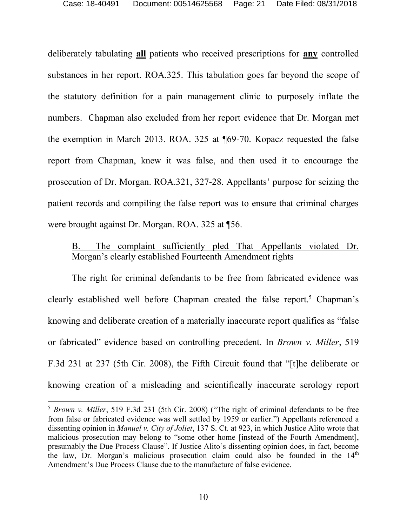deliberately tabulating **all** patients who received prescriptions for **any** controlled substances in her report. ROA.325. This tabulation goes far beyond the scope of the statutory definition for a pain management clinic to purposely inflate the numbers. Chapman also excluded from her report evidence that Dr. Morgan met the exemption in March 2013. ROA. 325 at ¶69-70. Kopacz requested the false report from Chapman, knew it was false, and then used it to encourage the prosecution of Dr. Morgan. ROA.321, 327-28. Appellants' purpose for seizing the patient records and compiling the false report was to ensure that criminal charges were brought against Dr. Morgan. ROA. 325 at ¶56.

#### B. The complaint sufficiently pled That Appellants violated Dr. Morgan's clearly established Fourteenth Amendment rights

The right for criminal defendants to be free from fabricated evidence was clearly established well before Chapman created the false report. <sup>5</sup> Chapman's knowing and deliberate creation of a materially inaccurate report qualifies as "false or fabricated" evidence based on controlling precedent. In *Brown v. Miller*, 519 F.3d 231 at 237 (5th Cir. 2008), the Fifth Circuit found that "[t]he deliberate or knowing creation of a misleading and scientifically inaccurate serology report

<sup>5</sup> *Brown v. Miller*, 519 F.3d 231 (5th Cir. 2008) ("The right of criminal defendants to be free from false or fabricated evidence was well settled by 1959 or earlier.") Appellants referenced a dissenting opinion in *Manuel v. City of Joliet*, 137 S. Ct. at 923, in which Justice Alito wrote that malicious prosecution may belong to "some other home [instead of the Fourth Amendment], presumably the Due Process Clause". If Justice Alito's dissenting opinion does, in fact, become the law, Dr. Morgan's malicious prosecution claim could also be founded in the  $14<sup>th</sup>$ Amendment's Due Process Clause due to the manufacture of false evidence.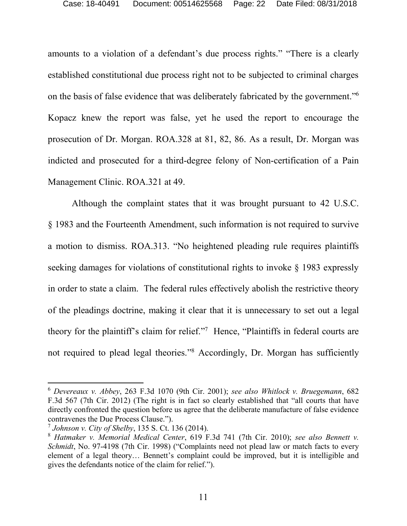amounts to a violation of a defendant's due process rights." "There is a clearly established constitutional due process right not to be subjected to criminal charges on the basis of false evidence that was deliberately fabricated by the government." 6 Kopacz knew the report was false, yet he used the report to encourage the prosecution of Dr. Morgan. ROA.328 at 81, 82, 86. As a result, Dr. Morgan was indicted and prosecuted for a third-degree felony of Non-certification of a Pain Management Clinic. ROA.321 at 49.

Although the complaint states that it was brought pursuant to 42 U.S.C. § 1983 and the Fourteenth Amendment, such information is not required to survive a motion to dismiss. ROA.313. "No heightened pleading rule requires plaintiffs seeking damages for violations of constitutional rights to invoke § 1983 expressly in order to state a claim. The federal rules effectively abolish the restrictive theory of the pleadings doctrine, making it clear that it is unnecessary to set out a legal theory for the plaintiff's claim for relief." 7 Hence, "Plaintiffs in federal courts are not required to plead legal theories." <sup>8</sup> Accordingly, Dr. Morgan has sufficiently

<sup>6</sup> *Devereaux v. Abbey*, 263 F.3d 1070 (9th Cir. 2001); *see also Whitlock v. Bruegemann*, 682 F.3d 567 (7th Cir. 2012) (The right is in fact so clearly established that "all courts that have directly confronted the question before us agree that the deliberate manufacture of false evidence contravenes the Due Process Clause.").

<sup>7</sup> *Johnson v. City of Shelby*, 135 S. Ct. 136 (2014).

<sup>8</sup> *Hatmaker v. Memorial Medical Center*, 619 F.3d 741 (7th Cir. 2010); *see also Bennett v. Schmidt*, No. 97-4198 (7th Cir. 1998) ("Complaints need not plead law or match facts to every element of a legal theory… Bennett's complaint could be improved, but it is intelligible and gives the defendants notice of the claim for relief.").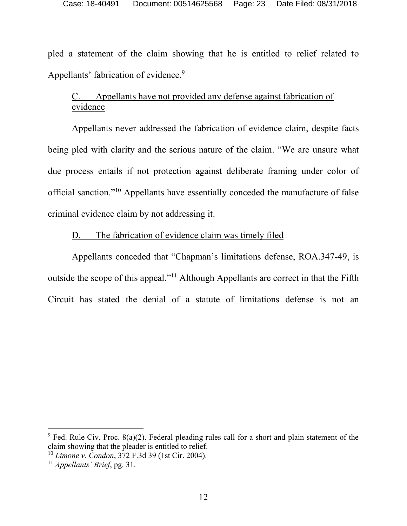pled a statement of the claim showing that he is entitled to relief related to Appellants' fabrication of evidence.<sup>9</sup>

## C. Appellants have not provided any defense against fabrication of evidence

Appellants never addressed the fabrication of evidence claim, despite facts being pled with clarity and the serious nature of the claim. "We are unsure what due process entails if not protection against deliberate framing under color of official sanction." <sup>10</sup> Appellants have essentially conceded the manufacture of false criminal evidence claim by not addressing it.

#### D. The fabrication of evidence claim was timely filed

Appellants conceded that "Chapman's limitations defense, ROA.347-49, is outside the scope of this appeal."<sup>11</sup> Although Appellants are correct in that the Fifth Circuit has stated the denial of a statute of limitations defense is not an

 $9$  Fed. Rule Civ. Proc. 8(a)(2). Federal pleading rules call for a short and plain statement of the claim showing that the pleader is entitled to relief.

<sup>10</sup> *Limone v. Condon*, 372 F.3d 39 (1st Cir. 2004).

<sup>11</sup> *Appellants' Brief*, pg. 31.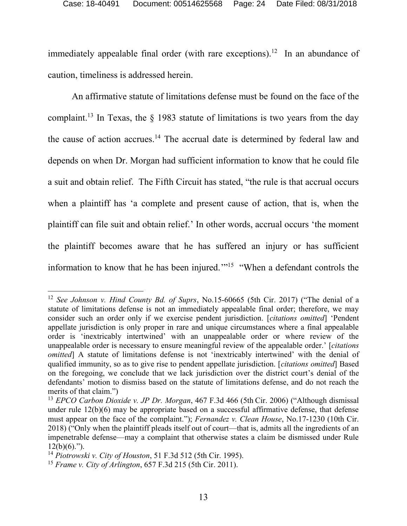immediately appealable final order (with rare exceptions).<sup>12</sup> In an abundance of caution, timeliness is addressed herein.

An affirmative statute of limitations defense must be found on the face of the complaint.<sup>13</sup> In Texas, the  $\S$  1983 statute of limitations is two years from the day the cause of action accrues.<sup>14</sup> The accrual date is determined by federal law and depends on when Dr. Morgan had sufficient information to know that he could file a suit and obtain relief. The Fifth Circuit has stated, "the rule is that accrual occurs when a plaintiff has 'a complete and present cause of action, that is, when the plaintiff can file suit and obtain relief.' In other words, accrual occurs 'the moment the plaintiff becomes aware that he has suffered an injury or has sufficient information to know that he has been injured.'" 15 "When a defendant controls the

<sup>12</sup> *See Johnson v. Hind County Bd. of Suprs*, No.15-60665 (5th Cir. 2017) ("The denial of a statute of limitations defense is not an immediately appealable final order; therefore, we may consider such an order only if we exercise pendent jurisdiction. [*citations omitted*] 'Pendent appellate jurisdiction is only proper in rare and unique circumstances where a final appealable order is 'inextricably intertwined' with an unappealable order or where review of the unappealable order is necessary to ensure meaningful review of the appealable order.' [*citations omitted* A statute of limitations defense is not 'inextricably intertwined' with the denial of qualified immunity, so as to give rise to pendent appellate jurisdiction. [*citations omitted*] Based on the foregoing, we conclude that we lack jurisdiction over the district court's denial of the defendants' motion to dismiss based on the statute of limitations defense, and do not reach the merits of that claim.")

<sup>13</sup> *EPCO Carbon Dioxide v. JP Dr. Morgan*, 467 F.3d 466 (5th Cir. 2006) ("Although dismissal under rule 12(b)(6) may be appropriate based on a successful affirmative defense, that defense must appear on the face of the complaint."); *Fernandez v. Clean House*, No.17-1230 (10th Cir. 2018) ("Only when the plaintiff pleads itself out of court—that is, admits all the ingredients of an impenetrable defense—may a complaint that otherwise states a claim be dismissed under Rule  $12(b)(6)$ .").

<sup>14</sup> *Piotrowski v. City of Houston*, 51 F.3d 512 (5th Cir. 1995).

<sup>15</sup> *Frame v. City of Arlington*, 657 F.3d 215 (5th Cir. 2011).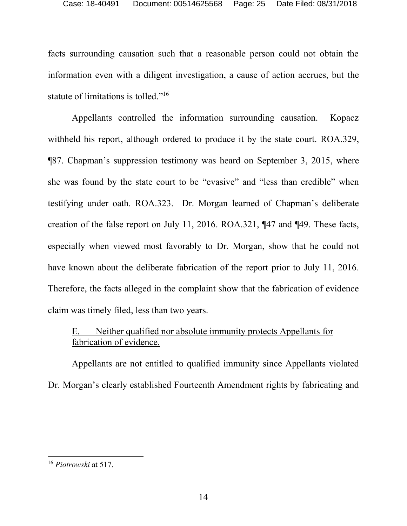facts surrounding causation such that a reasonable person could not obtain the information even with a diligent investigation, a cause of action accrues, but the statute of limitations is tolled."<sup>16</sup>

Appellants controlled the information surrounding causation. Kopacz withheld his report, although ordered to produce it by the state court. ROA.329, ¶87. Chapman's suppression testimony was heard on September 3, 2015, where she was found by the state court to be "evasive" and "less than credible" when testifying under oath. ROA.323. Dr. Morgan learned of Chapman's deliberate creation of the false report on July 11, 2016. ROA.321, ¶47 and ¶49. These facts, especially when viewed most favorably to Dr. Morgan, show that he could not have known about the deliberate fabrication of the report prior to July 11, 2016. Therefore, the facts alleged in the complaint show that the fabrication of evidence claim was timely filed, less than two years.

## E. Neither qualified nor absolute immunity protects Appellants for fabrication of evidence.

Appellants are not entitled to qualified immunity since Appellants violated Dr. Morgan's clearly established Fourteenth Amendment rights by fabricating and

<sup>16</sup> *Piotrowski* at 517.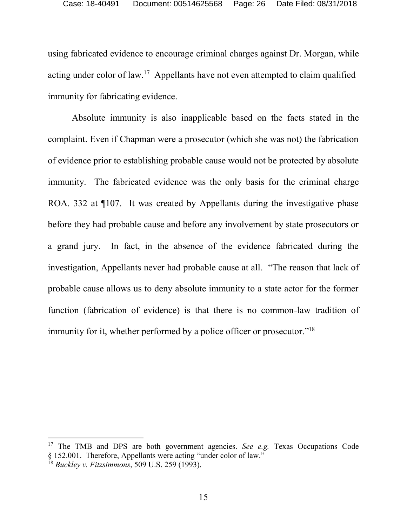using fabricated evidence to encourage criminal charges against Dr. Morgan, while acting under color of law.<sup>17</sup> Appellants have not even attempted to claim qualified immunity for fabricating evidence.

Absolute immunity is also inapplicable based on the facts stated in the complaint. Even if Chapman were a prosecutor (which she was not) the fabrication of evidence prior to establishing probable cause would not be protected by absolute immunity. The fabricated evidence was the only basis for the criminal charge ROA. 332 at ¶107. It was created by Appellants during the investigative phase before they had probable cause and before any involvement by state prosecutors or a grand jury. In fact, in the absence of the evidence fabricated during the investigation, Appellants never had probable cause at all. "The reason that lack of probable cause allows us to deny absolute immunity to a state actor for the former function (fabrication of evidence) is that there is no common-law tradition of immunity for it, whether performed by a police officer or prosecutor."<sup>18</sup>

<sup>17</sup> The TMB and DPS are both government agencies. *See e.g.* Texas Occupations Code § 152.001. Therefore, Appellants were acting "under color of law."

<sup>18</sup> *Buckley v. Fitzsimmons*, 509 U.S. 259 (1993).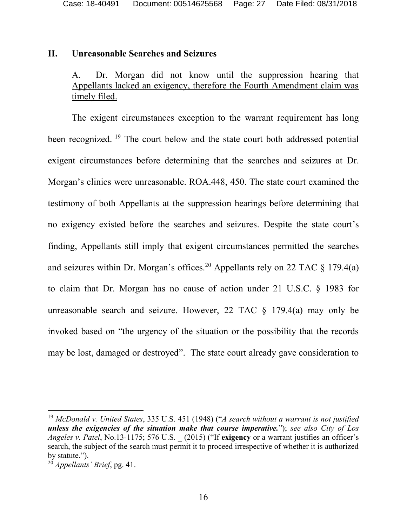#### **II. Unreasonable Searches and Seizures**

#### A. Dr. Morgan did not know until the suppression hearing that Appellants lacked an exigency, therefore the Fourth Amendment claim was timely filed.

The exigent circumstances exception to the warrant requirement has long been recognized.<sup>19</sup> The court below and the state court both addressed potential exigent circumstances before determining that the searches and seizures at Dr. Morgan's clinics were unreasonable. ROA.448, 450. The state court examined the testimony of both Appellants at the suppression hearings before determining that no exigency existed before the searches and seizures. Despite the state court's finding, Appellants still imply that exigent circumstances permitted the searches and seizures within Dr. Morgan's offices.<sup>20</sup> Appellants rely on 22 TAC  $\S$  179.4(a) to claim that Dr. Morgan has no cause of action under 21 U.S.C. § 1983 for unreasonable search and seizure. However, 22 TAC  $\S$  179.4(a) may only be invoked based on "the urgency of the situation or the possibility that the records may be lost, damaged or destroyed". The state court already gave consideration to

<sup>19</sup> *McDonald v. United States*, 335 U.S. 451 (1948) ("*A search without a warrant is not justified unless the exigencies of the situation make that course imperative.*"); *see also City of Los Angeles v. Patel*, No.13-1175; 576 U.S. \_ (2015) ("If **exigency** or a warrant justifies an officer's search, the subject of the search must permit it to proceed irrespective of whether it is authorized by statute.").

<sup>20</sup> *Appellants' Brief*, pg. 41.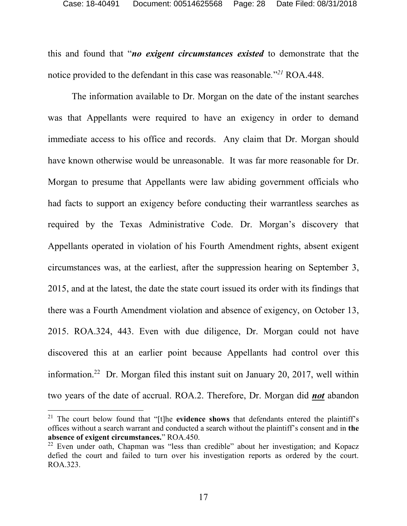this and found that "*no exigent circumstances existed* to demonstrate that the notice provided to the defendant in this case was reasonable*.*" *<sup>21</sup>* ROA.448.

The information available to Dr. Morgan on the date of the instant searches was that Appellants were required to have an exigency in order to demand immediate access to his office and records. Any claim that Dr. Morgan should have known otherwise would be unreasonable. It was far more reasonable for Dr. Morgan to presume that Appellants were law abiding government officials who had facts to support an exigency before conducting their warrantless searches as required by the Texas Administrative Code. Dr. Morgan's discovery that Appellants operated in violation of his Fourth Amendment rights, absent exigent circumstances was, at the earliest, after the suppression hearing on September 3, 2015, and at the latest, the date the state court issued its order with its findings that there was a Fourth Amendment violation and absence of exigency, on October 13, 2015. ROA.324, 443. Even with due diligence, Dr. Morgan could not have discovered this at an earlier point because Appellants had control over this information.<sup>22</sup> Dr. Morgan filed this instant suit on January 20, 2017, well within two years of the date of accrual. ROA.2. Therefore, Dr. Morgan did *not* abandon

<sup>&</sup>lt;sup>21</sup> The court below found that "[t]he **evidence shows** that defendants entered the plaintiff's offices without a search warrant and conducted a search without the plaintiff's consent and in **the absence of exigent circumstances.**" ROA.450.

<sup>&</sup>lt;sup>22</sup> Even under oath, Chapman was "less than credible" about her investigation; and Kopacz defied the court and failed to turn over his investigation reports as ordered by the court. ROA.323.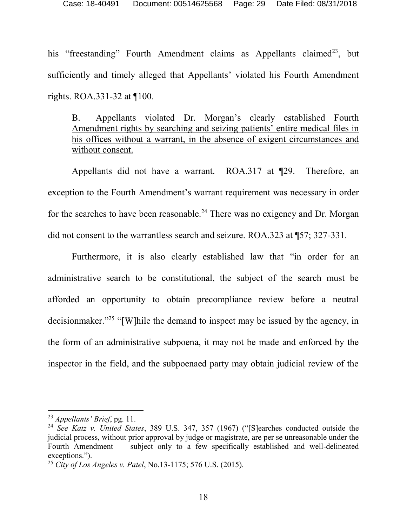his "freestanding" Fourth Amendment claims as Appellants claimed<sup>23</sup>, but sufficiently and timely alleged that Appellants' violated his Fourth Amendment rights. ROA.331-32 at ¶100.

B. Appellants violated Dr. Morgan's clearly established Fourth Amendment rights by searching and seizing patients' entire medical files in his offices without a warrant, in the absence of exigent circumstances and without consent.

Appellants did not have a warrant. ROA.317 at ¶29. Therefore, an exception to the Fourth Amendment's warrant requirement was necessary in order for the searches to have been reasonable.<sup>24</sup> There was no exigency and Dr. Morgan did not consent to the warrantless search and seizure. ROA.323 at ¶57; 327-331.

Furthermore, it is also clearly established law that "in order for an administrative search to be constitutional, the subject of the search must be afforded an opportunity to obtain precompliance review before a neutral decisionmaker." 25 "[W]hile the demand to inspect may be issued by the agency, in the form of an administrative subpoena, it may not be made and enforced by the inspector in the field, and the subpoenaed party may obtain judicial review of the

<sup>23</sup> *Appellants' Brief*, pg. 11.

<sup>24</sup> *See Katz v. United States*, 389 U.S. 347, 357 (1967) ("[S]earches conducted outside the judicial process, without prior approval by judge or magistrate, are per se unreasonable under the Fourth Amendment — subject only to a few specifically established and well-delineated exceptions.").

<sup>25</sup> *City of Los Angeles v. Patel*, No.13-1175; 576 U.S. (2015).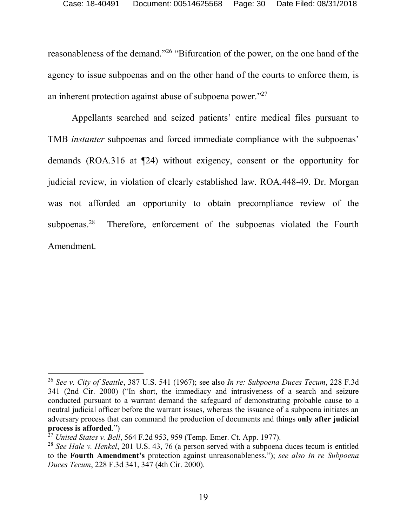reasonableness of the demand."<sup>26</sup> "Bifurcation of the power, on the one hand of the agency to issue subpoenas and on the other hand of the courts to enforce them, is an inherent protection against abuse of subpoena power."<sup>27</sup>

Appellants searched and seized patients' entire medical files pursuant to TMB *instanter* subpoenas and forced immediate compliance with the subpoenas' demands (ROA.316 at ¶24) without exigency, consent or the opportunity for judicial review, in violation of clearly established law. ROA.448-49. Dr. Morgan was not afforded an opportunity to obtain precompliance review of the subpoenas.<sup>28</sup> Therefore, enforcement of the subpoenas violated the Fourth Amendment.

<sup>26</sup> *See v. City of Seattle*, 387 U.S. 541 (1967); see also *In re: Subpoena Duces Tecum*, 228 F.3d 341 (2nd Cir. 2000) ("In short, the immediacy and intrusiveness of a search and seizure conducted pursuant to a warrant demand the safeguard of demonstrating probable cause to a neutral judicial officer before the warrant issues, whereas the issuance of a subpoena initiates an adversary process that can command the production of documents and things **only after judicial process is afforded**.")

<sup>27</sup> *United States v. Bell*, 564 F.2d 953, 959 (Temp. Emer. Ct. App. 1977).

<sup>28</sup> *See Hale v. Henkel*, 201 U.S. 43, 76 (a person served with a subpoena duces tecum is entitled to the **Fourth Amendment's** protection against unreasonableness."); *see also In re Subpoena Duces Tecum*, 228 F.3d 341, 347 (4th Cir. 2000).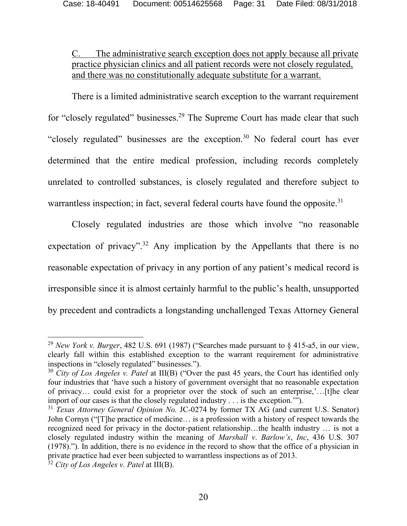## C. The administrative search exception does not apply because all private practice physician clinics and all patient records were not closely regulated, and there was no constitutionally adequate substitute for a warrant.

There is a limited administrative search exception to the warrant requirement for "closely regulated" businesses.<sup>29</sup> The Supreme Court has made clear that such "closely regulated" businesses are the exception.<sup>30</sup> No federal court has ever determined that the entire medical profession, including records completely unrelated to controlled substances, is closely regulated and therefore subject to warrantless inspection; in fact, several federal courts have found the opposite.<sup>31</sup>

Closely regulated industries are those which involve "no reasonable expectation of privacy".<sup>32</sup> Any implication by the Appellants that there is no reasonable expectation of privacy in any portion of any patient's medical record is irresponsible since it is almost certainly harmful to the public's health, unsupported by precedent and contradicts a longstanding unchallenged Texas Attorney General

<sup>29</sup> *New York v. Burger*, 482 U.S. 691 (1987) ("Searches made pursuant to § 415-a5, in our view, clearly fall within this established exception to the warrant requirement for administrative inspections in "closely regulated" businesses.").

<sup>&</sup>lt;sup>30</sup> *City of Los Angeles v. Patel* at III(B) ("Over the past 45 years, the Court has identified only four industries that 'have such a history of government oversight that no reasonable expectation of privacy… could exist for a proprietor over the stock of such an enterprise,'…[t]he clear import of our cases is that the closely regulated industry . . . is the exception.'").

<sup>31</sup> *Texas Attorney General Opinion No.* JC-0274 by former TX AG (and current U.S. Senator) John Cornyn ("[T]he practice of medicine… is a profession with a history of respect towards the recognized need for privacy in the doctor-patient relationship…the health industry … is not a closely regulated industry within the meaning of *Marshall v*. *Barlow's*, *Inc*, 436 U.S. 307 (1978)."). In addition, there is no evidence in the record to show that the office of a physician in private practice had ever been subjected to warrantless inspections as of 2013.

<sup>32</sup> *City of Los Angeles v. Patel* at III(B).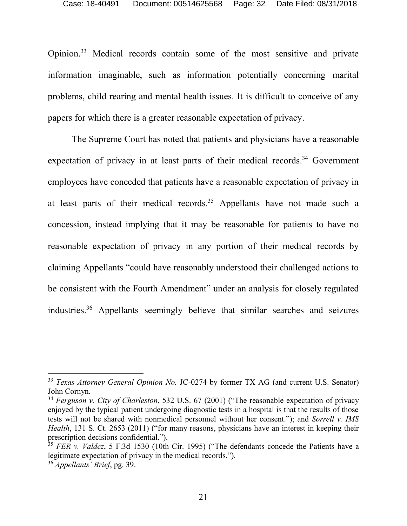Opinion. <sup>33</sup> Medical records contain some of the most sensitive and private information imaginable, such as information potentially concerning marital problems, child rearing and mental health issues. It is difficult to conceive of any papers for which there is a greater reasonable expectation of privacy.

The Supreme Court has noted that patients and physicians have a reasonable expectation of privacy in at least parts of their medical records.<sup>34</sup> Government employees have conceded that patients have a reasonable expectation of privacy in at least parts of their medical records.<sup>35</sup> Appellants have not made such a concession, instead implying that it may be reasonable for patients to have no reasonable expectation of privacy in any portion of their medical records by claiming Appellants "could have reasonably understood their challenged actions to be consistent with the Fourth Amendment" under an analysis for closely regulated industries. <sup>36</sup> Appellants seemingly believe that similar searches and seizures

<sup>33</sup> *Texas Attorney General Opinion No.* JC-0274 by former TX AG (and current U.S. Senator) John Cornyn.

<sup>34</sup> *Ferguson v. City of Charleston*, 532 U.S. 67 (2001) ("The reasonable expectation of privacy enjoyed by the typical patient undergoing diagnostic tests in a hospital is that the results of those tests will not be shared with nonmedical personnel without her consent."); and *Sorrell v. IMS Health*, 131 S. Ct. 2653 (2011) ("for many reasons, physicians have an interest in keeping their prescription decisions confidential.").

<sup>&</sup>lt;sup>35</sup> *FER v. Valdez*, 5 F.3d 1530 (10th Cir. 1995) ("The defendants concede the Patients have a legitimate expectation of privacy in the medical records.").

<sup>36</sup> *Appellants' Brief*, pg. 39.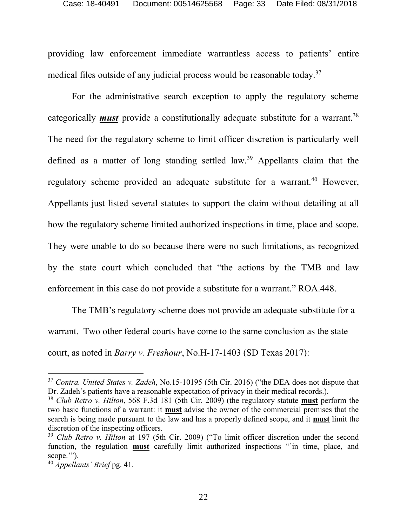providing law enforcement immediate warrantless access to patients' entire medical files outside of any judicial process would be reasonable today.<sup>37</sup>

For the administrative search exception to apply the regulatory scheme categorically *must* provide a constitutionally adequate substitute for a warrant.<sup>38</sup> The need for the regulatory scheme to limit officer discretion is particularly well defined as a matter of long standing settled law.<sup>39</sup> Appellants claim that the regulatory scheme provided an adequate substitute for a warrant.<sup>40</sup> However, Appellants just listed several statutes to support the claim without detailing at all how the regulatory scheme limited authorized inspections in time, place and scope. They were unable to do so because there were no such limitations, as recognized by the state court which concluded that "the actions by the TMB and law enforcement in this case do not provide a substitute for a warrant." ROA.448.

The TMB's regulatory scheme does not provide an adequate substitute for a warrant. Two other federal courts have come to the same conclusion as the state court, as noted in *Barry v. Freshour*, No.H-17-1403 (SD Texas 2017):

<sup>37</sup> *Contra. United States v. Zadeh*, No.15-10195 (5th Cir. 2016) ("the DEA does not dispute that Dr. Zadeh's patients have a reasonable expectation of privacy in their medical records.).

<sup>38</sup> *Club Retro v. Hilton*, 568 F.3d 181 (5th Cir. 2009) (the regulatory statute **must** perform the two basic functions of a warrant: it **must** advise the owner of the commercial premises that the search is being made pursuant to the law and has a properly defined scope, and it **must** limit the discretion of the inspecting officers.

<sup>39</sup> *Club Retro v. Hilton* at 197 (5th Cir. 2009) ("To limit officer discretion under the second function, the regulation **must** carefully limit authorized inspections "'in time, place, and scope.'").

<sup>40</sup> *Appellants' Brief* pg. 41.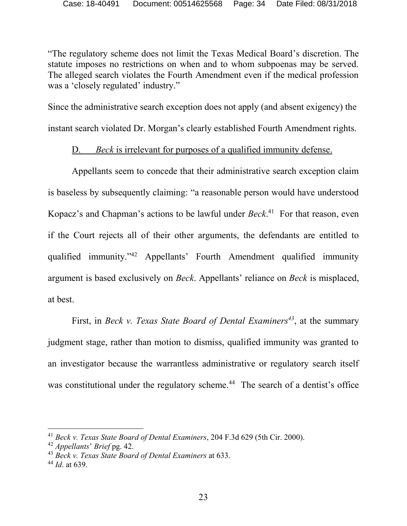"The regulatory scheme does not limit the Texas Medical Board's discretion. The statute imposes no restrictions on when and to whom subpoenas may be served. The alleged search violates the Fourth Amendment even if the medical profession was a 'closely regulated' industry."

Since the administrative search exception does not apply (and absent exigency) the instant search violated Dr. Morgan's clearly established Fourth Amendment rights.

## D. *Beck* is irrelevant for purposes of a qualified immunity defense.

Appellants seem to concede that their administrative search exception claim is baseless by subsequently claiming: "a reasonable person would have understood Kopacz's and Chapman's actions to be lawful under *Beck*. <sup>41</sup> For that reason, even if the Court rejects all of their other arguments, the defendants are entitled to qualified immunity." <sup>42</sup> Appellants' Fourth Amendment qualified immunity argument is based exclusively on *Beck*. Appellants' reliance on *Beck* is misplaced, at best.

First, in *Beck v. Texas State Board of Dental Examiners<sup>43</sup>*, at the summary judgment stage, rather than motion to dismiss, qualified immunity was granted to an investigator because the warrantless administrative or regulatory search itself was constitutional under the regulatory scheme.<sup>44</sup> The search of a dentist's office

<sup>41</sup> *Beck v. Texas State Board of Dental Examiners*, 204 F.3d 629 (5th Cir. 2000).

<sup>42</sup> *Appellants*' *Brief* pg. 42.

<sup>43</sup> *Beck v. Texas State Board of Dental Examiners* at 633.

<sup>44</sup> *Id*. at 639.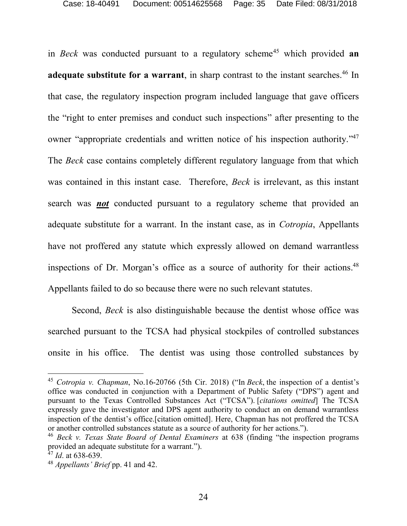in *Beck* was conducted pursuant to a regulatory scheme<sup>45</sup> which provided **an adequate substitute for a warrant**, in sharp contrast to the instant searches.<sup>46</sup> In that case, the regulatory inspection program included language that gave officers the "right to enter premises and conduct such inspections" after presenting to the owner "appropriate credentials and written notice of his inspection authority."<sup>47</sup> The *Beck* case contains completely different regulatory language from that which was contained in this instant case. Therefore, *Beck* is irrelevant, as this instant search was *not* conducted pursuant to a regulatory scheme that provided an adequate substitute for a warrant. In the instant case, as in *Cotropia*, Appellants have not proffered any statute which expressly allowed on demand warrantless inspections of Dr. Morgan's office as a source of authority for their actions. 48 Appellants failed to do so because there were no such relevant statutes.

Second, *Beck* is also distinguishable because the dentist whose office was searched pursuant to the TCSA had physical stockpiles of controlled substances onsite in his office. The dentist was using those controlled substances by

<sup>45</sup> *Cotropia v. Chapman*, No.16-20766 (5th Cir. 2018) ("In *Beck*, the inspection of a dentist's office was conducted in conjunction with a Department of Public Safety ("DPS") agent and pursuant to the Texas Controlled Substances Act ("TCSA"). [*citations omitted*] The TCSA expressly gave the investigator and DPS agent authority to conduct an on demand warrantless inspection of the dentist's office.[citation omitted]. Here, Chapman has not proffered the TCSA or another controlled substances statute as a source of authority for her actions.").

<sup>46</sup> *Beck v. Texas State Board of Dental Examiners* at 638 (finding "the inspection programs provided an adequate substitute for a warrant.").

<sup>47</sup> *Id*. at 638-639.

<sup>48</sup> *Appellants' Brief* pp. 41 and 42.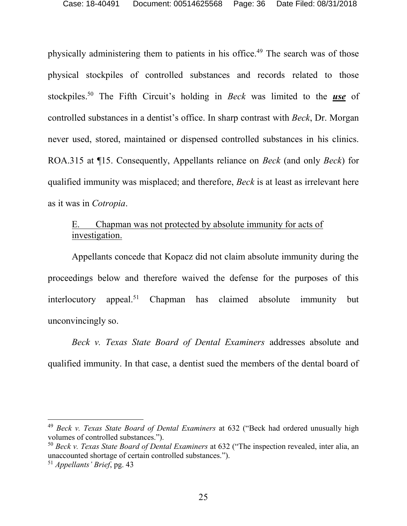physically administering them to patients in his office.<sup>49</sup> The search was of those physical stockpiles of controlled substances and records related to those stockpiles. <sup>50</sup> The Fifth Circuit's holding in *Beck* was limited to the *use* of controlled substances in a dentist's office. In sharp contrast with *Beck*, Dr. Morgan never used, stored, maintained or dispensed controlled substances in his clinics. ROA.315 at ¶15. Consequently, Appellants reliance on *Beck* (and only *Beck*) for qualified immunity was misplaced; and therefore, *Beck* is at least as irrelevant here as it was in *Cotropia*.

## E. Chapman was not protected by absolute immunity for acts of investigation.

Appellants concede that Kopacz did not claim absolute immunity during the proceedings below and therefore waived the defense for the purposes of this interlocutory appeal.<sup>51</sup> Chapman has claimed absolute immunity but unconvincingly so.

*Beck v. Texas State Board of Dental Examiners* addresses absolute and qualified immunity. In that case, a dentist sued the members of the dental board of

<sup>49</sup> *Beck v. Texas State Board of Dental Examiners* at 632 ("Beck had ordered unusually high volumes of controlled substances.").

<sup>50</sup> *Beck v. Texas State Board of Dental Examiners* at 632 ("The inspection revealed, inter alia, an unaccounted shortage of certain controlled substances.").

<sup>51</sup> *Appellants' Brief*, pg. 43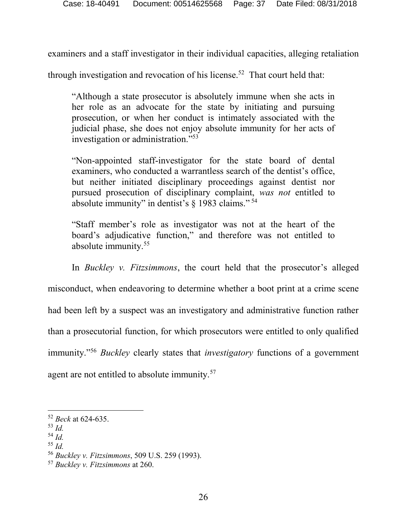examiners and a staff investigator in their individual capacities, alleging retaliation

through investigation and revocation of his license.<sup>52</sup> That court held that:

"Although a state prosecutor is absolutely immune when she acts in her role as an advocate for the state by initiating and pursuing prosecution, or when her conduct is intimately associated with the judicial phase, she does not enjoy absolute immunity for her acts of investigation or administration." 53

"Non-appointed staff-investigator for the state board of dental examiners, who conducted a warrantless search of the dentist's office, but neither initiated disciplinary proceedings against dentist nor pursued prosecution of disciplinary complaint, *was not* entitled to absolute immunity" in dentist's  $\S$  1983 claims."<sup>54</sup>

"Staff member's role as investigator was not at the heart of the board's adjudicative function," and therefore was not entitled to absolute immunity.<sup>55</sup>

In *Buckley v. Fitzsimmons*, the court held that the prosecutor's alleged misconduct, when endeavoring to determine whether a boot print at a crime scene had been left by a suspect was an investigatory and administrative function rather than a prosecutorial function, for which prosecutors were entitled to only qualified immunity." <sup>56</sup> *Buckley* clearly states that *investigatory* functions of a government agent are not entitled to absolute immunity.<sup>57</sup>

 $\overline{a}$ 

<sup>54</sup> *Id.*

<sup>52</sup> *Beck* at 624-635.

<sup>53</sup> *Id.*

<sup>55</sup> *Id.*

<sup>56</sup> *Buckley v. Fitzsimmons*, 509 U.S. 259 (1993).

<sup>57</sup> *Buckley v. Fitzsimmons* at 260.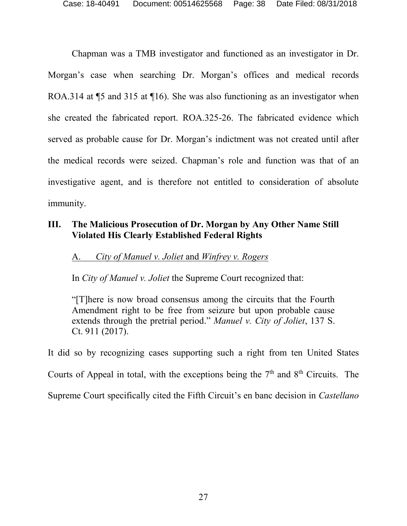Chapman was a TMB investigator and functioned as an investigator in Dr. Morgan's case when searching Dr. Morgan's offices and medical records ROA.314 at ¶5 and 315 at ¶16). She was also functioning as an investigator when she created the fabricated report. ROA.325-26. The fabricated evidence which served as probable cause for Dr. Morgan's indictment was not created until after the medical records were seized. Chapman's role and function was that of an investigative agent, and is therefore not entitled to consideration of absolute immunity.

## **III. The Malicious Prosecution of Dr. Morgan by Any Other Name Still Violated His Clearly Established Federal Rights**

#### A. *City of Manuel v. Joliet* and *Winfrey v. Rogers*

In *City of Manuel v. Joliet* the Supreme Court recognized that:

"[T]here is now broad consensus among the circuits that the Fourth Amendment right to be free from seizure but upon probable cause extends through the pretrial period." *Manuel v. City of Joliet*, 137 S. Ct. 911 (2017).

It did so by recognizing cases supporting such a right from ten United States

Courts of Appeal in total, with the exceptions being the 7<sup>th</sup> and 8<sup>th</sup> Circuits. The

Supreme Court specifically cited the Fifth Circuit's en banc decision in *Castellano*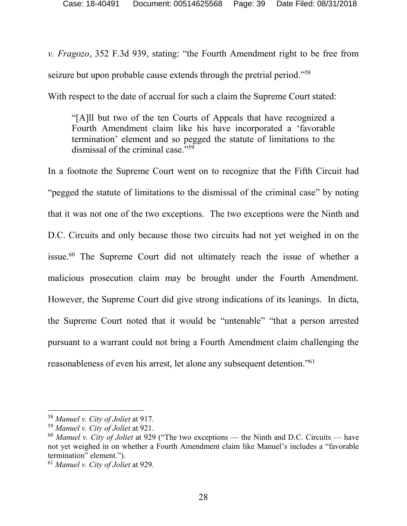*v. Fragozo*, 352 F.3d 939, stating: "the Fourth Amendment right to be free from seizure but upon probable cause extends through the pretrial period."<sup>58</sup>

With respect to the date of accrual for such a claim the Supreme Court stated:

"[A]ll but two of the ten Courts of Appeals that have recognized a Fourth Amendment claim like his have incorporated a 'favorable termination' element and so pegged the statute of limitations to the dismissal of the criminal case." 59

In a footnote the Supreme Court went on to recognize that the Fifth Circuit had "pegged the statute of limitations to the dismissal of the criminal case" by noting that it was not one of the two exceptions. The two exceptions were the Ninth and D.C. Circuits and only because those two circuits had not yet weighed in on the issue.<sup>60</sup> The Supreme Court did not ultimately reach the issue of whether a malicious prosecution claim may be brought under the Fourth Amendment. However, the Supreme Court did give strong indications of its leanings. In dicta, the Supreme Court noted that it would be "untenable" "that a person arrested pursuant to a warrant could not bring a Fourth Amendment claim challenging the reasonableness of even his arrest, let alone any subsequent detention."<sup>61</sup>

<sup>58</sup> *Manuel v. City of Joliet* at 917.

<sup>59</sup> *Manuel v. City of Joliet* at 921.

<sup>60</sup> *Manuel v. City of Joliet* at 929 ("The two exceptions — the Ninth and D.C. Circuits — have not yet weighed in on whether a Fourth Amendment claim like Manuel's includes a "favorable termination" element.").

<sup>61</sup> *Manuel v. City of Joliet* at 929.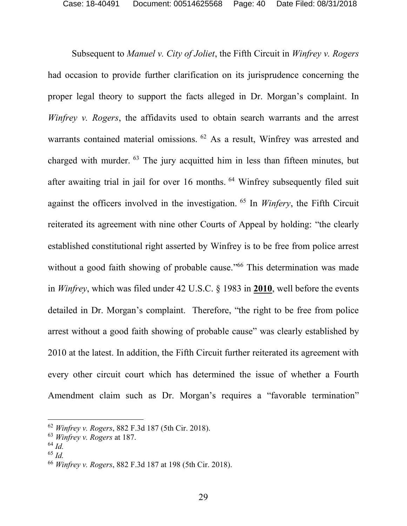Subsequent to *Manuel v. City of Joliet*, the Fifth Circuit in *Winfrey v. Rogers* had occasion to provide further clarification on its jurisprudence concerning the proper legal theory to support the facts alleged in Dr. Morgan's complaint. In *Winfrey v. Rogers*, the affidavits used to obtain search warrants and the arrest warrants contained material omissions. <sup>62</sup> As a result, Winfrey was arrested and charged with murder. <sup>63</sup> The jury acquitted him in less than fifteen minutes, but after awaiting trial in jail for over 16 months. <sup>64</sup> Winfrey subsequently filed suit against the officers involved in the investigation. <sup>65</sup> In *Winfery*, the Fifth Circuit reiterated its agreement with nine other Courts of Appeal by holding: "the clearly established constitutional right asserted by Winfrey is to be free from police arrest without a good faith showing of probable cause."<sup>66</sup> This determination was made in *Winfrey*, which was filed under 42 U.S.C. § 1983 in **2010**, well before the events detailed in Dr. Morgan's complaint. Therefore, "the right to be free from police arrest without a good faith showing of probable cause" was clearly established by 2010 at the latest. In addition, the Fifth Circuit further reiterated its agreement with every other circuit court which has determined the issue of whether a Fourth Amendment claim such as Dr. Morgan's requires a "favorable termination"

<sup>62</sup> *Winfrey v. Rogers*, 882 F.3d 187 (5th Cir. 2018).

<sup>63</sup> *Winfrey v. Rogers* at 187.

<sup>64</sup> *Id.*

<sup>65</sup> *Id.*

<sup>66</sup> *Winfrey v. Rogers*, 882 F.3d 187 at 198 (5th Cir. 2018).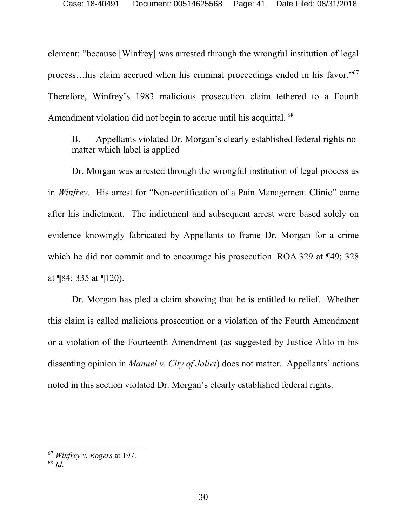element: "because [Winfrey] was arrested through the wrongful institution of legal process…his claim accrued when his criminal proceedings ended in his favor." 67 Therefore, Winfrey's 1983 malicious prosecution claim tethered to a Fourth Amendment violation did not begin to accrue until his acquittal. <sup>68</sup>

#### B. Appellants violated Dr. Morgan's clearly established federal rights no matter which label is applied

Dr. Morgan was arrested through the wrongful institution of legal process as in *Winfrey*. His arrest for "Non-certification of a Pain Management Clinic" came after his indictment. The indictment and subsequent arrest were based solely on evidence knowingly fabricated by Appellants to frame Dr. Morgan for a crime which he did not commit and to encourage his prosecution. ROA.329 at ¶49; 328 at ¶84; 335 at ¶120).

Dr. Morgan has pled a claim showing that he is entitled to relief. Whether this claim is called malicious prosecution or a violation of the Fourth Amendment or a violation of the Fourteenth Amendment (as suggested by Justice Alito in his dissenting opinion in *Manuel v. City of Joliet*) does not matter. Appellants' actions noted in this section violated Dr. Morgan's clearly established federal rights.

<sup>67</sup> *Winfrey v. Rogers* at 197.

<sup>68</sup> *Id*.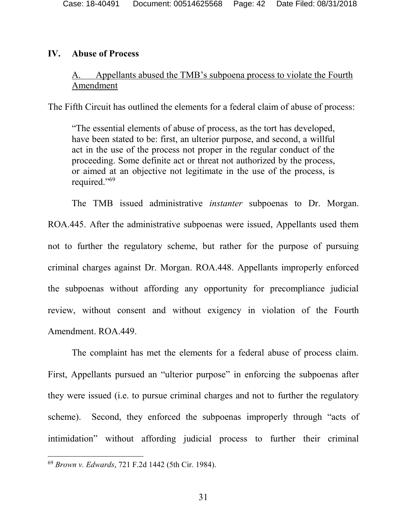#### **IV. Abuse of Process**

## A. Appellants abused the TMB's subpoena process to violate the Fourth Amendment

The Fifth Circuit has outlined the elements for a federal claim of abuse of process:

"The essential elements of abuse of process, as the tort has developed, have been stated to be: first, an ulterior purpose, and second, a willful act in the use of the process not proper in the regular conduct of the proceeding. Some definite act or threat not authorized by the process, or aimed at an objective not legitimate in the use of the process, is required." 69

The TMB issued administrative *instanter* subpoenas to Dr. Morgan. ROA.445. After the administrative subpoenas were issued, Appellants used them not to further the regulatory scheme, but rather for the purpose of pursuing criminal charges against Dr. Morgan. ROA.448. Appellants improperly enforced the subpoenas without affording any opportunity for precompliance judicial review, without consent and without exigency in violation of the Fourth Amendment. ROA.449.

The complaint has met the elements for a federal abuse of process claim. First, Appellants pursued an "ulterior purpose" in enforcing the subpoenas after they were issued (i.e. to pursue criminal charges and not to further the regulatory scheme). Second, they enforced the subpoenas improperly through "acts of intimidation" without affording judicial process to further their criminal

<sup>69</sup> *Brown v. Edwards*, 721 F.2d 1442 (5th Cir. 1984).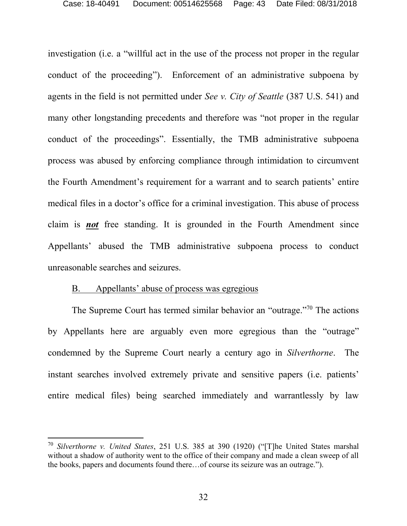investigation (i.e. a "willful act in the use of the process not proper in the regular conduct of the proceeding"). Enforcement of an administrative subpoena by agents in the field is not permitted under *See v. City of Seattle* (387 U.S. 541) and many other longstanding precedents and therefore was "not proper in the regular conduct of the proceedings". Essentially, the TMB administrative subpoena process was abused by enforcing compliance through intimidation to circumvent the Fourth Amendment's requirement for a warrant and to search patients' entire medical files in a doctor's office for a criminal investigation. This abuse of process claim is *not* free standing. It is grounded in the Fourth Amendment since Appellants' abused the TMB administrative subpoena process to conduct unreasonable searches and seizures.

#### B. Appellants' abuse of process was egregious

 $\overline{a}$ 

The Supreme Court has termed similar behavior an "outrage."<sup>70</sup> The actions by Appellants here are arguably even more egregious than the "outrage" condemned by the Supreme Court nearly a century ago in *Silverthorne*. The instant searches involved extremely private and sensitive papers (i.e. patients' entire medical files) being searched immediately and warrantlessly by law

<sup>70</sup> *Silverthorne v. United States*, 251 U.S. 385 at 390 (1920) ("[T]he United States marshal without a shadow of authority went to the office of their company and made a clean sweep of all the books, papers and documents found there…of course its seizure was an outrage.").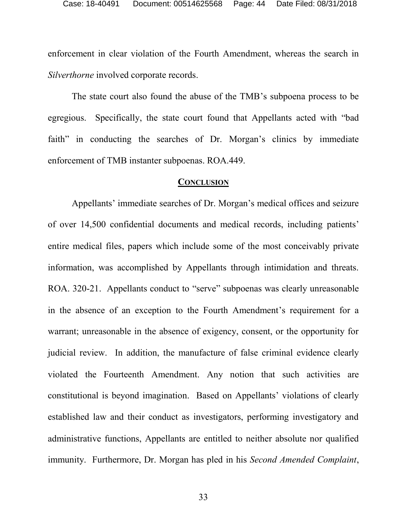enforcement in clear violation of the Fourth Amendment, whereas the search in *Silverthorne* involved corporate records.

The state court also found the abuse of the TMB's subpoena process to be egregious. Specifically, the state court found that Appellants acted with "bad faith" in conducting the searches of Dr. Morgan's clinics by immediate enforcement of TMB instanter subpoenas. ROA.449.

#### **CONCLUSION**

Appellants' immediate searches of Dr. Morgan's medical offices and seizure of over 14,500 confidential documents and medical records, including patients' entire medical files, papers which include some of the most conceivably private information, was accomplished by Appellants through intimidation and threats. ROA. 320-21. Appellants conduct to "serve" subpoenas was clearly unreasonable in the absence of an exception to the Fourth Amendment's requirement for a warrant; unreasonable in the absence of exigency, consent, or the opportunity for judicial review. In addition, the manufacture of false criminal evidence clearly violated the Fourteenth Amendment. Any notion that such activities are constitutional is beyond imagination. Based on Appellants' violations of clearly established law and their conduct as investigators, performing investigatory and administrative functions, Appellants are entitled to neither absolute nor qualified immunity. Furthermore, Dr. Morgan has pled in his *Second Amended Complaint*,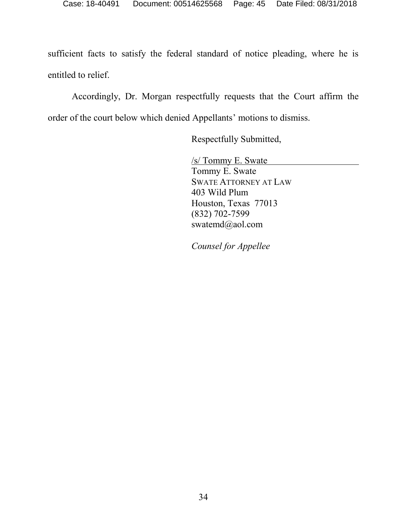sufficient facts to satisfy the federal standard of notice pleading, where he is entitled to relief.

Accordingly, Dr. Morgan respectfully requests that the Court affirm the order of the court below which denied Appellants' motions to dismiss.

Respectfully Submitted,

/s/ Tommy E. Swate Tommy E. Swate SWATE ATTORNEY AT LAW 403 Wild Plum Houston, Texas 77013 (832) 702-7599 swatemd@aol.com

*Counsel for Appellee*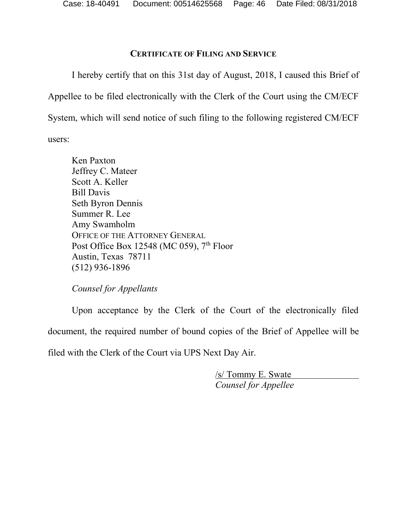## **CERTIFICATE OF FILING AND SERVICE**

I hereby certify that on this 31st day of August, 2018, I caused this Brief of Appellee to be filed electronically with the Clerk of the Court using the CM/ECF System, which will send notice of such filing to the following registered CM/ECF users:

Ken Paxton Jeffrey C. Mateer Scott A. Keller Bill Davis Seth Byron Dennis Summer R. Lee Amy Swamholm OFFICE OF THE ATTORNEY GENERAL Post Office Box 12548 (MC 059),  $7<sup>th</sup>$  Floor Austin, Texas 78711 (512) 936-1896

*Counsel for Appellants*

Upon acceptance by the Clerk of the Court of the electronically filed document, the required number of bound copies of the Brief of Appellee will be filed with the Clerk of the Court via UPS Next Day Air.

> /s/ Tommy E. Swate *Counsel for Appellee*